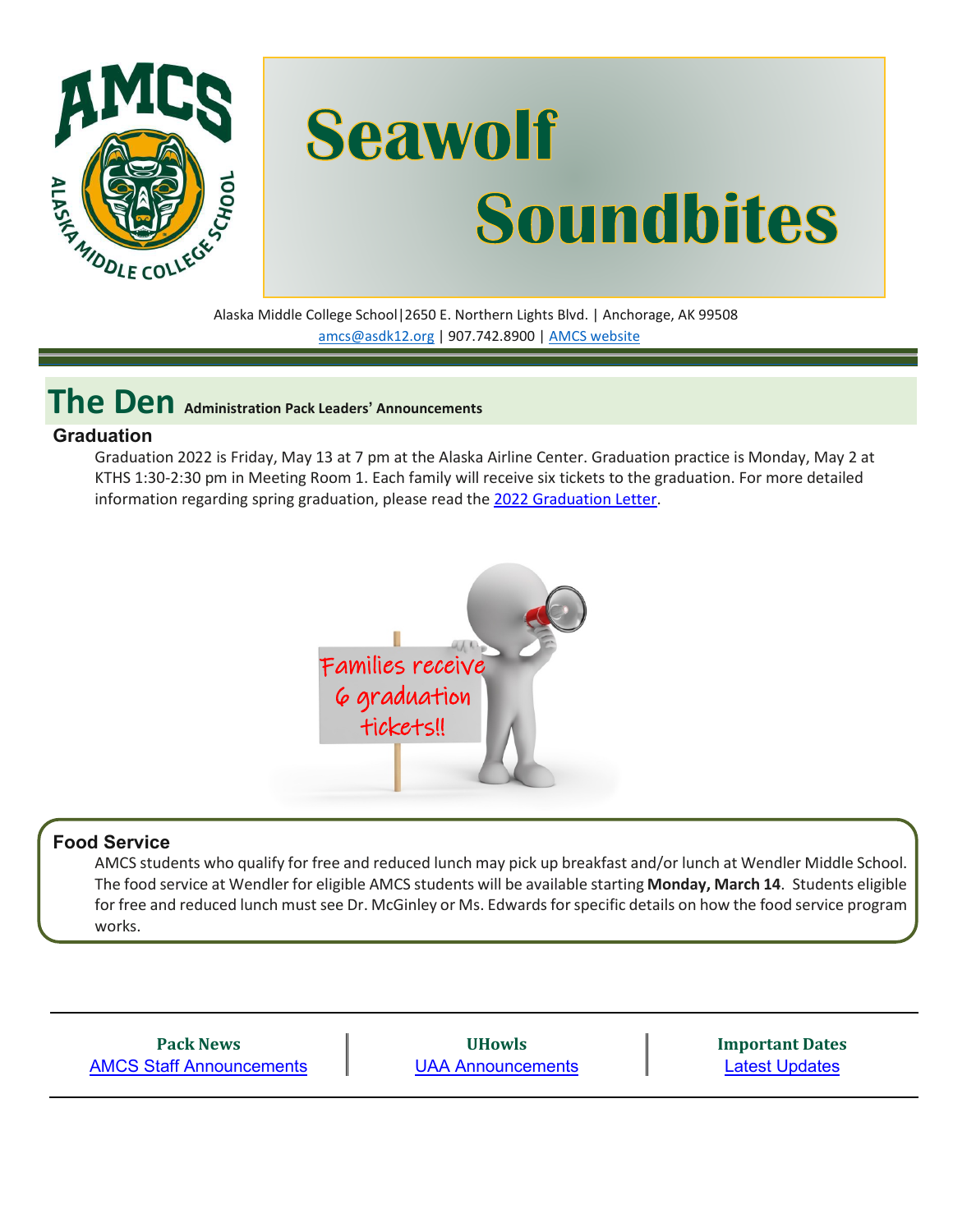

# **Seawolf Soundbites**

Alaska Middle College School|2650 E. Northern Lights Blvd. | Anchorage, AK 99508 [amcs@asdk12.org](mailto:amcs@asdk12.org) | 907.742.8900 | AMCS [website](https://www.asdk12.org/amcs)

**The Den Administration Pack Leaders' Announcements**

#### **Graduation**

Graduation 2022 is Friday, May 13 at 7 pm at the Alaska Airline Center. Graduation practice is Monday, May 2 at KTHS 1:30-2:30 pm in Meeting Room 1. Each family will receive six tickets to the graduation. For more detailed information regarding spring graduation, please read the [2022 Graduation Letter.](https://www.asdk12.org/cms/lib/AK02207157/Centricity/Domain/1502/Parent%20Grad%20Info%202_23.pdf)



### **Food Service**

AMCS students who qualify for free and reduced lunch may pick up breakfast and/or lunch at Wendler Middle School. The food service at Wendler for eligible AMCS students will be available starting **Monday, March 14**. Students eligible for free and reduced lunch must see Dr. McGinley or Ms. Edwards for specific details on how the food service program works.

**Pack News** [AMCS Staff Announcements](#page-1-0)

**UHowls** [UAA Announcements](#page-2-0) **Important Dates** [Latest Updates](#page-3-0)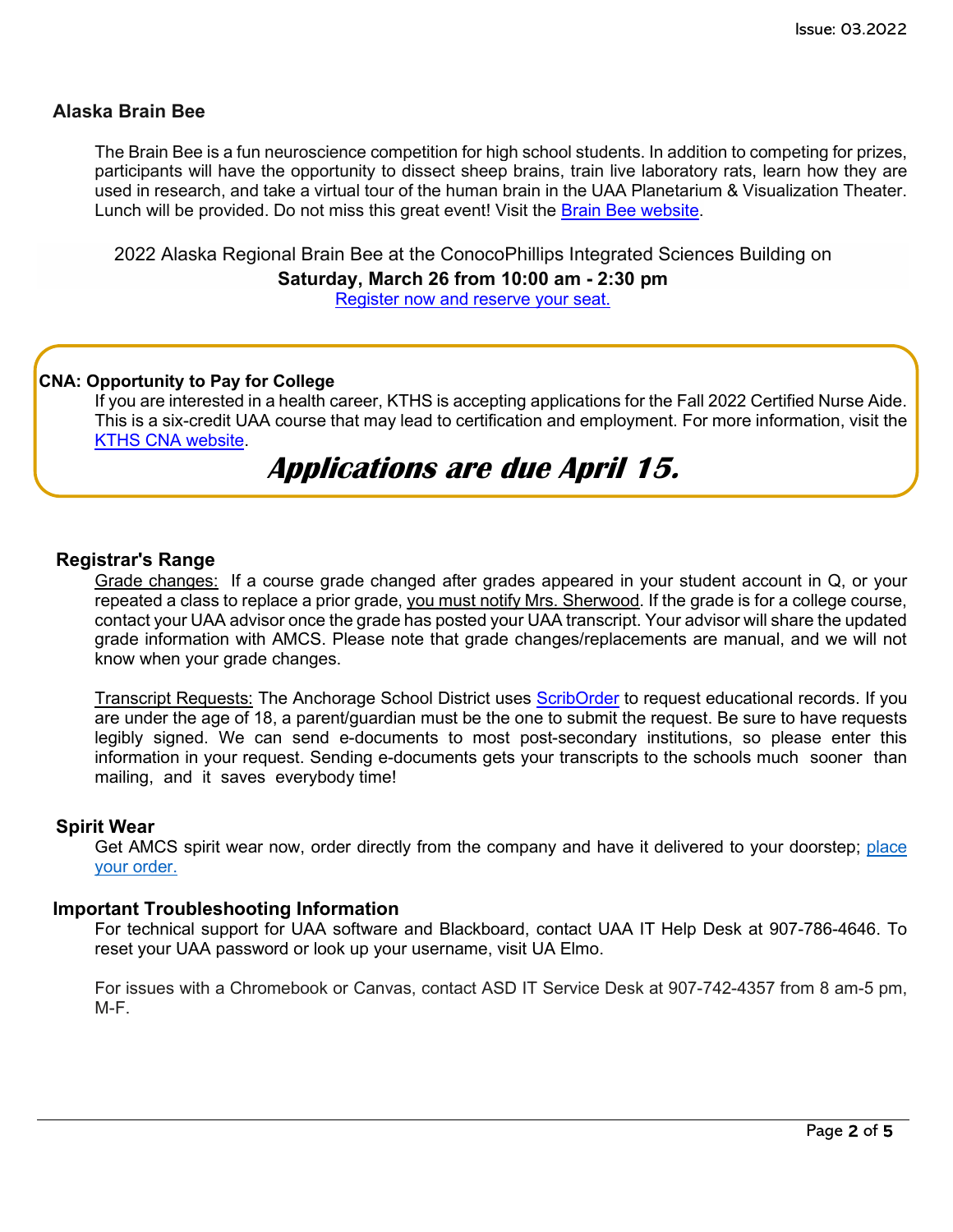#### **Alaska Brain Bee**

The Brain Bee is a fun neuroscience competition for high school students. In addition to competing for prizes, participants will have the opportunity to dissect sheep brains, train live laboratory rats, learn how they are used in research, and take a virtual tour of the human brain in the UAA Planetarium & Visualization Theater. Lunch will be provided. Do not miss this great event! Visit the [Brain Bee website.](https://www.uaa.alaska.edu/academics/college-of-arts-and-sciences/departments/biological-sciences/department-events/brain-bee/)

2022 Alaska Regional Brain Bee at the ConocoPhillips Integrated Sciences Building on

**Saturday, March 26 from 10:00 am - 2:30 pm**

[Register now and reserve your seat.](https://www.uaa.alaska.edu/academics/college-of-arts-and-sciences/departments/biological-sciences/department-events/brain-bee/)

#### **CNA: Opportunity to Pay for College**

If you are interested in a health career, KTHS is accepting applications for the Fall 2022 Certified Nurse Aide. This is a six-credit UAA course that may lead to certification and employment. For more information, visit [the](https://www.asdk12.org/Page/8243)  [KTHS CNA website.](https://www.asdk12.org/Page/8243)

### **Applications are due April 15.**

#### **Registrar's Range**

Grade changes: If a course grade changed after grades appeared in your student account in Q, or your repeated a class to replace a prior grade, you must notify Mrs. Sherwood. If the grade is for a college course, contact your UAA advisor once the grade has posted your UAA transcript. Your advisor will share the updated grade information with AMCS. Please note that grade changes/replacements are manual, and we will not know when your grade changes.

Transcript Requests: The Anchorage School District uses [ScribOrder](https://anchorageak.scriborder.com/) to request educational records. If you are under the age of 18, a parent/guardian must be the one to submit the request. Be sure to have requests legibly signed. We can send e-documents to most post-secondary institutions, so please enter this information in your request. Sending e-documents gets your transcripts to the schools much sooner than mailing, and it saves everybody time!

#### **Spirit Wear**

Get AMCS spirit wear now, order directly from the company and have it delivered to your doorstep; [place](http://www.tntsportsalaska.com/alaska-middle-college-school) your [order.](http://www.tntsportsalaska.com/alaska-middle-college-school)

#### **Important Troubleshooting Information**

For technical support for UAA software and Blackboard, contact UAA IT Help Desk at 907-786-4646. To reset your UAA password or look up your username, visit [UA Elmo.](https://elmo.alaska.edu/) 

<span id="page-1-0"></span>For issues with a Chromebook or Canvas, contact ASD IT Service Desk at 907-742-4357 from 8 am-5 pm, M-F.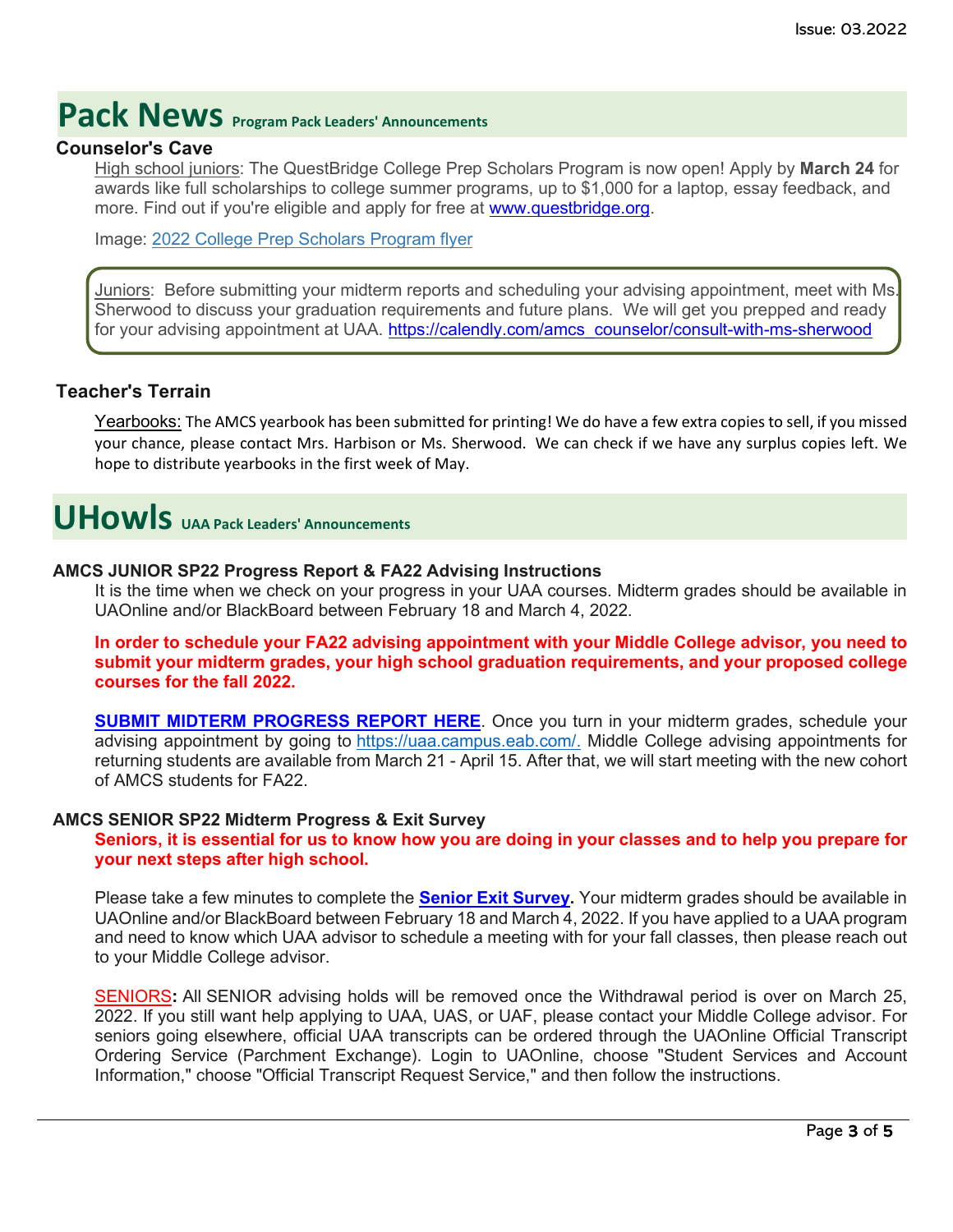## **Pack News** Program Pack Leaders' Announcements

#### **Counselor's Cave**

High school juniors: The QuestBridge College Prep Scholars Program is now open! Apply by **March 24** for awards like full scholarships to college summer programs, up to \$1,000 for a laptop, essay feedback, and more. Find out if you're eligible and apply for free at [www.questbridge.org.](http://www.questbridge.org/)

Image: 2022 College Prep [Scholars](https://nam12.safelinks.protection.outlook.com/?url=https%3A%2F%2Fquestbridge.s3.amazonaws.com%2FpdfUploads%2F61eb4f5a60295c030086deb6-94bc5ca79dbc478669020b8601e34905.pdf&data=04%7C01%7CGriffis_Kimberly%40asdk12.org%7C0c60a993e0e741631a6c08d9f7078447%7C036ce601e95a4e46a3bd6b742ed4bb35%7C0%7C0%7C637812433920024915%7CUnknown%7CTWFpbGZsb3d8eyJWIjoiMC4wLjAwMDAiLCJQIjoiV2luMzIiLCJBTiI6Ik1haWwiLCJXVCI6Mn0%3D%7C3000&sdata=OdTJbGclQy5HhH%2BhqI3UdjrnRbBKJKkfTCnH93o7tXk%3D&reserved=0) Program flyer

Juniors: Before submitting your midterm reports and scheduling your advising appointment, meet with Ms. Sherwood to discuss your graduation requirements and future plans. We will get you prepped and ready for your advising appointment at UAA. [https://calendly.com/amcs\\_counselor/consult-with-ms-sherwood](https://nam12.safelinks.protection.outlook.com/?url=https%3A%2F%2Fcalendly.com%2Famcs_counselor%2Fconsult-with-ms-sherwood&data=04%7C01%7CGriffis_Kimberly%40asdk12.org%7C0c60a993e0e741631a6c08d9f7078447%7C036ce601e95a4e46a3bd6b742ed4bb35%7C0%7C0%7C637812433920024915%7CUnknown%7CTWFpbGZsb3d8eyJWIjoiMC4wLjAwMDAiLCJQIjoiV2luMzIiLCJBTiI6Ik1haWwiLCJXVCI6Mn0%3D%7C3000&sdata=DaaWgT0yxTTs9WpbPZM0HzE7jMrztyeAscKbrioVffI%3D&reserved=0)

#### **Teacher's Terrain**

Yearbooks: The AMCS yearbook has been submitted for printing! We do have a few extra copies to sell, if you missed your chance, please contact Mrs. Harbison or Ms. Sherwood. We can check if we have any surplus copies left. We hope to distribute yearbooks in the first week of May.

### <span id="page-2-0"></span>**UHowls UAA Pack Leaders' Announcements**

#### **AMCS JUNIOR SP22 Progress Report & FA22 Advising Instructions**

It is the time when we check on your progress in your UAA courses. Midterm grades should be available in UAOnline and/or BlackBoard between February 18 and March 4, 2022.

#### **In order to schedule your FA22 advising appointment with your Middle College advisor, you need to submit your midterm grades, your high school graduation requirements, and your proposed college courses for the fall 2022.**

**SUBMIT MIDTERM [PROGRESS](https://nam12.safelinks.protection.outlook.com/?url=https%3A%2F%2Fuaa.co1.qualtrics.com%2Fjfe%2Fform%2FSV_bQ8Qm95rtCBOW1M&data=04%7C01%7Cgriffis_kimberly%40asdk12.org%7C394830e3ded2419588cb08d9faea4eab%7C036ce601e95a4e46a3bd6b742ed4bb35%7C0%7C1%7C637816706522268702%7CUnknown%7CTWFpbGZsb3d8eyJWIjoiMC4wLjAwMDAiLCJQIjoiV2luMzIiLCJBTiI6Ik1haWwiLCJXVCI6Mn0%3D%7C2000&sdata=RQhTL%2BypjSw%2Brf1jwzu%2BOol3mmOCxcSvUDrx6AZEMuQ%3D&reserved=0) REPORT HERE**. Once you turn in your midterm grades, schedule your advising appointment by going to [https://uaa.campus.eab.com/.](https://nam12.safelinks.protection.outlook.com/?url=https%3A%2F%2Fuaa.campus.eab.com%2F&data=04%7C01%7Cgriffis_kimberly%40asdk12.org%7C394830e3ded2419588cb08d9faea4eab%7C036ce601e95a4e46a3bd6b742ed4bb35%7C0%7C1%7C637816706522268702%7CUnknown%7CTWFpbGZsb3d8eyJWIjoiMC4wLjAwMDAiLCJQIjoiV2luMzIiLCJBTiI6Ik1haWwiLCJXVCI6Mn0%3D%7C2000&sdata=%2FHOw%2F1xpCxHLsWIeUALZHFA9N4rHoYdEXlIgH5TNd64%3D&reserved=0) Middle College advising appointments for returning students are available from March 21 - April 15. After that, we will start meeting with the new cohort of AMCS students for FA22.

#### **AMCS SENIOR SP22 Midterm Progress & Exit Survey**

#### Seniors, it is essential for us to know how you are doing in your classes and to help you prepare for **your next steps after high school.**

Please take a few minutes to complete the **Senior Exit [Survey.](https://nam12.safelinks.protection.outlook.com/?url=https%3A%2F%2Fuaa.co1.qualtrics.com%2Fjfe%2Fform%2FSV_833XSzeyOvjRSd0&data=04%7C01%7Cgriffis_kimberly%40asdk12.org%7C394830e3ded2419588cb08d9faea4eab%7C036ce601e95a4e46a3bd6b742ed4bb35%7C0%7C1%7C637816706522268702%7CUnknown%7CTWFpbGZsb3d8eyJWIjoiMC4wLjAwMDAiLCJQIjoiV2luMzIiLCJBTiI6Ik1haWwiLCJXVCI6Mn0%3D%7C2000&sdata=q4QhOrJyy8NEVsy1my0Yb2ICa2SNJu748zROAIElryo%3D&reserved=0)** Your midterm grades should be available in UAOnline and/or BlackBoard between February 18 and March 4, 2022. If you have applied to a UAA program and need to know which UAA advisor to schedule a meeting with for your fall classes, then please reach out to your Middle College advisor.

SENIORS**:** All SENIOR advising holds will be removed once the Withdrawal period is over on March 25, 2022. If you still want help applying to UAA, UAS, or UAF, please contact your Middle College advisor. For seniors going elsewhere, official UAA transcripts can be ordered through the UAOnline Official Transcript Ordering Service (Parchment Exchange). Login to UAOnline, choose "Student Services and Account Information," choose "Official Transcript Request Service," and then follow the instructions.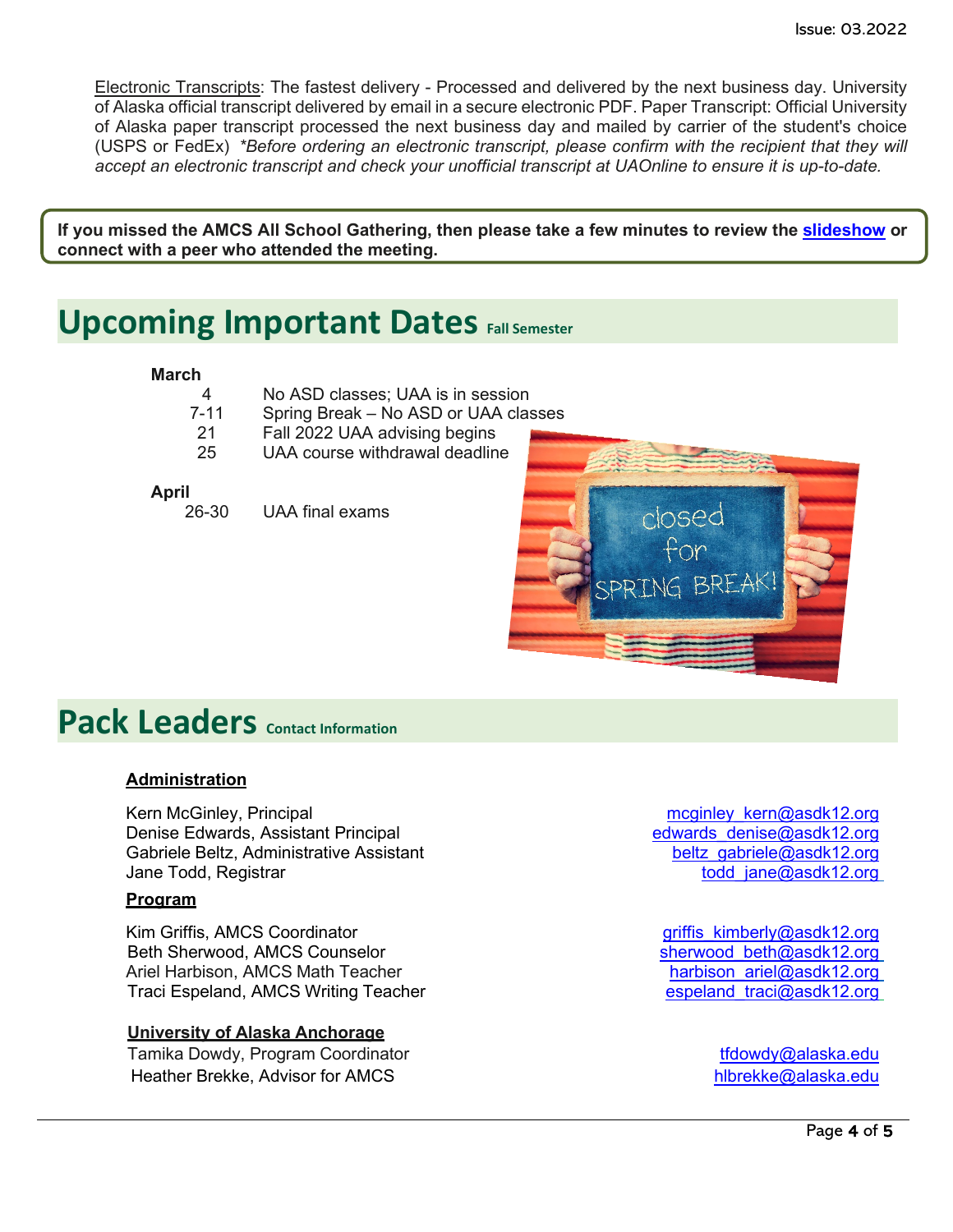Electronic Transcripts: The fastest delivery - Processed and delivered by the next business day. University of Alaska official transcript delivered by email in a secure electronic PDF. Paper Transcript: Official University of Alaska paper transcript processed the next business day and mailed by carrier of the student's choice (USPS or FedEx) *\*Before ordering an electronic transcript, please confirm with the recipient that they will accept an electronic transcript and check your unofficial transcript at UAOnline to ensure it is up-to-date.*

**If you missed the AMCS All School Gathering, then please take a few minutes to review the [slideshow](https://nam12.safelinks.protection.outlook.com/?url=https%3A%2F%2Fdocs.google.com%2Fpresentation%2Fd%2F1zgx2m9Ii15AUMMy89o8bpE6SDRkUhh3v%2Fedit%3Fusp%3Dsharing%26ouid%3D104239675417306158674%26rtpof%3Dtrue%26sd%3Dtrue&data=04%7C01%7Cgriffis_kimberly%40asdk12.org%7C394830e3ded2419588cb08d9faea4eab%7C036ce601e95a4e46a3bd6b742ed4bb35%7C0%7C1%7C637816706522268702%7CUnknown%7CTWFpbGZsb3d8eyJWIjoiMC4wLjAwMDAiLCJQIjoiV2luMzIiLCJBTiI6Ik1haWwiLCJXVCI6Mn0%3D%7C2000&sdata=VNgpelvRhvB2iyWox6PO3QEB%2BaWgvggfUXxEf47oV40%3D&reserved=0) or connect with a peer who attended the meeting.**

### <span id="page-3-0"></span>**Upcoming Important Dates Fall Semester**

#### **March**

| 4        | No ASD classes; UAA is in session    |  |
|----------|--------------------------------------|--|
| $7 - 11$ | Spring Break - No ASD or UAA classes |  |
| -21      | Fall 2022 UAA advising begins        |  |
| 25       | UAA course withdrawal deadline       |  |

- **April**<br>26-30
- UAA final exams



### **Pack Leaders Contact Information**

#### **Administration**

Kern McGinley, Principal methods of the matter of the maginley kern@asdk12.org<br>Denise Edwards. Assistant Principal methods of the maginal methods of the maginal methods of the Denise of the Denise Edwards, Assistant Principal Gabriele Beltz, Administrative Assistant beltz the state of the beltz dabriele@asdk12.org<br>Jane Todd, Registrar beltz the state of the state of todd jane@asdk12.org

#### **Program**

Kim Griffis, AMCS Coordinator and the state of the state of the state of the state of the state of the Sherwood<br>Beth Sherwood, AMCS Counselor Beth Sherwood, AMCS Counselor Ariel Harbison, AMCS Math Teacher harbitic [harbison\\_ariel@asdk12.org](mailto:harbison_ariel@asdk12.org) Traci Espeland, AMCS Writing Teacher espectrum of the espeland traci@asdk12.org

#### **University of Alaska Anchorage**

Tamika Dowdy, Program Coordinator the theory of the three transitions of the transition of the transition of the transition of the transition of the transition of the transition of the transition of the transition of the t Heather Brekke, Advisor for AMCS [hlbrekke@alaska.edu](mailto:hlbrekke@alaska.edu)

[todd\\_jane@asdk12.org](mailto:todd_jane@asdk12.org)